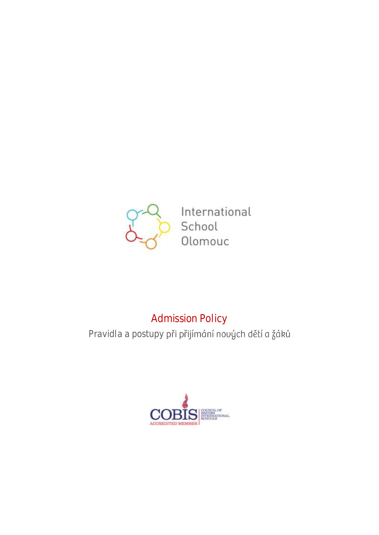

International School Olomouc

# Admission Policy

Pravidla a postupy při přijímání nouých dětí a žáků

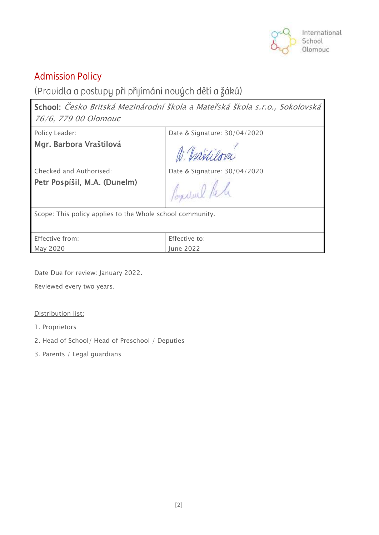

# **Admission Policy**

# (Pravidla a postupy při přijímání nových dětí a žáků)

School: Česko Britská Mezinárodní škola a Mateřská škola s.r.o., Sokolovská 76/6, 779 00 Olomouc

Policy Leader:

Mgr. Barbora Vraštilová

Date & Signature: 30/04/2020

ma

Checked and Authorised:

Petr Pospíšil, M.A. (Dunelm)

Date & Signature: 30/04/2020

Conclue Pela

Scope: This policy applies to the Whole school community.

| Effective from: | Effective to:    |
|-----------------|------------------|
| May 2020        | <b>Lune 2022</b> |

Date Due for review: January 2022.

Reviewed every two years.

#### Distribution list:

- 1. Proprietors
- 2. Head of School/ Head of Preschool / Deputies
- 3. Parents / Legal guardians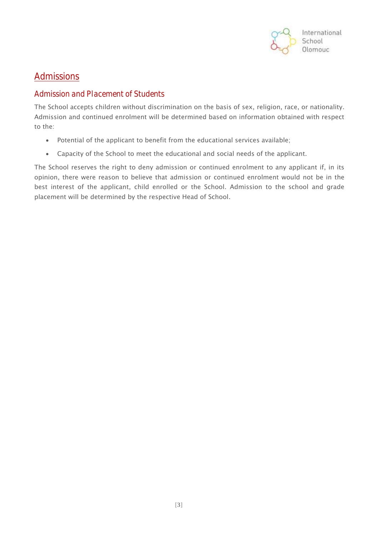

### **Admissions**

#### Admission and Placement of Students

The School accepts children without discrimination on the basis of sex, religion, race, or nationality. Admission and continued enrolment will be determined based on information obtained with respect to the:

- Potential of the applicant to benefit from the educational services available;
- Capacity of the School to meet the educational and social needs of the applicant.

The School reserves the right to deny admission or continued enrolment to any applicant if, in its opinion, there were reason to believe that admission or continued enrolment would not be in the best interest of the applicant, child enrolled or the School. Admission to the school and grade placement will be determined by the respective Head of School.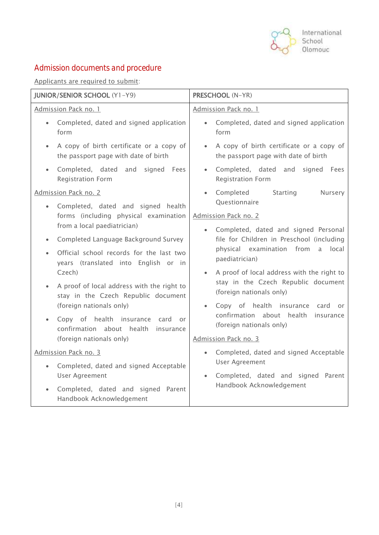

# Admission documents and procedure

Applicants are required to submit:

| <b>JUNIOR/SENIOR SCHOOL (Y1-Y9)</b> |                                                                                   | <b>PRESCHOOL (N-YR)</b>                                                                                                                                                                                                                     |  |
|-------------------------------------|-----------------------------------------------------------------------------------|---------------------------------------------------------------------------------------------------------------------------------------------------------------------------------------------------------------------------------------------|--|
| Admission Pack no. 1                |                                                                                   | Admission Pack no. 1                                                                                                                                                                                                                        |  |
|                                     | Completed, dated and signed application<br>form                                   | Completed, dated and signed application<br>$\bullet$<br>form                                                                                                                                                                                |  |
| $\bullet$                           | A copy of birth certificate or a copy of<br>the passport page with date of birth  | A copy of birth certificate or a copy of<br>$\bullet$<br>the passport page with date of birth                                                                                                                                               |  |
|                                     | Completed, dated and signed Fees<br><b>Registration Form</b>                      | Completed, dated and signed Fees<br>$\bullet$<br><b>Registration Form</b>                                                                                                                                                                   |  |
| Admission Pack no. 2                |                                                                                   | Starting<br>Completed<br>Nursery<br>$\bullet$                                                                                                                                                                                               |  |
| $\bullet$                           | Completed, dated and signed health                                                | Questionnaire                                                                                                                                                                                                                               |  |
|                                     | forms (including physical examination                                             | Admission Pack no. 2                                                                                                                                                                                                                        |  |
|                                     | from a local paediatrician)                                                       | Completed, dated and signed Personal<br>$\bullet$<br>file for Children in Preschool (including<br>physical examination from<br>a<br>local                                                                                                   |  |
| $\bullet$                           | Completed Language Background Survey                                              |                                                                                                                                                                                                                                             |  |
| $\bullet$                           | Official school records for the last two                                          | paediatrician)                                                                                                                                                                                                                              |  |
|                                     | years (translated into English or in<br>Czech)                                    | A proof of local address with the right to<br>stay in the Czech Republic document<br>(foreign nationals only)<br>Copy of health insurance card<br><b>or</b><br>$\bullet$<br>confirmation about health insurance<br>(foreign nationals only) |  |
|                                     | A proof of local address with the right to<br>stay in the Czech Republic document |                                                                                                                                                                                                                                             |  |
|                                     | (foreign nationals only)                                                          |                                                                                                                                                                                                                                             |  |
|                                     | Copy of health insurance<br>card<br>or<br>confirmation about health<br>insurance  |                                                                                                                                                                                                                                             |  |
|                                     | (foreign nationals only)                                                          | Admission Pack no. 3                                                                                                                                                                                                                        |  |
| Admission Pack no. 3                |                                                                                   | Completed, dated and signed Acceptable<br>$\bullet$                                                                                                                                                                                         |  |
| $\bullet$                           | Completed, dated and signed Acceptable                                            | <b>User Agreement</b><br>Completed, dated and signed Parent<br>$\bullet$<br>Handbook Acknowledgement                                                                                                                                        |  |
|                                     | <b>User Agreement</b>                                                             |                                                                                                                                                                                                                                             |  |
| $\bullet$                           | Completed, dated and signed Parent<br>Handbook Acknowledgement                    |                                                                                                                                                                                                                                             |  |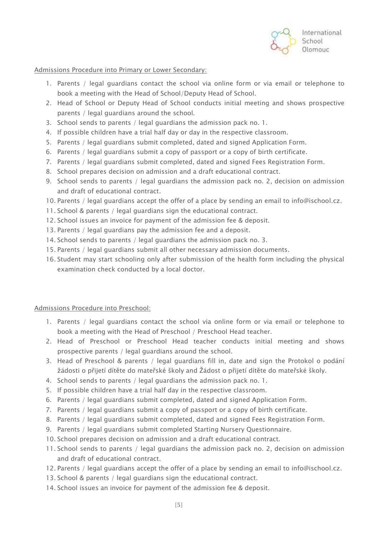

Admissions Procedure into Primary or Lower Secondary:

- 1. Parents / legal guardians contact the school via online form or via email or telephone to book a meeting with the Head of School/Deputy Head of School.
- 2. Head of School or Deputy Head of School conducts initial meeting and shows prospective parents / legal guardians around the school.
- 3. School sends to parents / legal guardians the admission pack no. 1.
- 4. If possible children have a trial half day or day in the respective classroom.
- 5. Parents / legal guardians submit completed, dated and signed Application Form.
- 6. Parents / legal guardians submit a copy of passport or a copy of birth certificate.
- 7. Parents / legal guardians submit completed, dated and signed Fees Registration Form.
- 8. School prepares decision on admission and a draft educational contract.
- 9. School sends to parents / legal guardians the admission pack no. 2, decision on admission and draft of educational contract.
- 10. Parents / legal guardians accept the offer of a place by sending an email to info@ischool.cz.
- 11. School & parents / legal guardians sign the educational contract.
- 12. School issues an invoice for payment of the admission fee & deposit.
- 13. Parents / legal guardians pay the admission fee and a deposit.
- 14. School sends to parents / legal guardians the admission pack no. 3.
- 15. Parents / legal guardians submit all other necessary admission documents.
- 16. Student may start schooling only after submission of the health form including the physical examination check conducted by a local doctor.

#### Admissions Procedure into Preschool:

- 1. Parents / legal guardians contact the school via online form or via email or telephone to book a meeting with the Head of Preschool / Preschool Head teacher.
- 2. Head of Preschool or Preschool Head teacher conducts initial meeting and shows prospective parents / legal guardians around the school.
- 3. Head of Preschool & parents / legal guardians fill in, date and sign the Protokol o podání žádosti o přijetí dítěte do mateřské školy and Žádost o přijetí dítěte do mateřské školy.
- 4. School sends to parents / legal guardians the admission pack no. 1.
- 5. If possible children have a trial half day in the respective classroom.
- 6. Parents / legal guardians submit completed, dated and signed Application Form.
- 7. Parents / legal guardians submit a copy of passport or a copy of birth certificate.
- 8. Parents / legal guardians submit completed, dated and signed Fees Registration Form.
- 9. Parents / legal guardians submit completed Starting Nursery Questionnaire.
- 10. School prepares decision on admission and a draft educational contract.
- 11. School sends to parents / legal guardians the admission pack no. 2, decision on admission and draft of educational contract.
- 12. Parents / legal guardians accept the offer of a place by sending an email to info@ischool.cz.
- 13. School & parents / legal guardians sign the educational contract.
- 14. School issues an invoice for payment of the admission fee & deposit.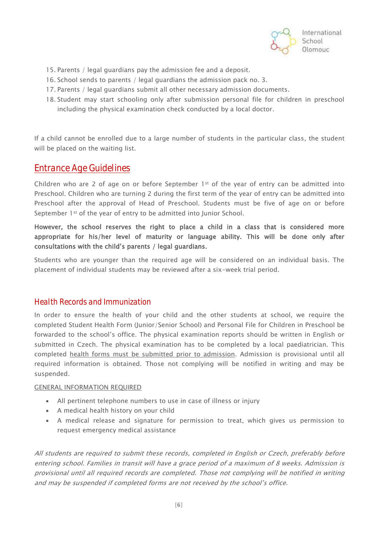

- 15. Parents / legal guardians pay the admission fee and a deposit.
- 16. School sends to parents / legal guardians the admission pack no. 3.
- 17. Parents / legal guardians submit all other necessary admission documents.
- 18. Student may start schooling only after submission personal file for children in preschool including the physical examination check conducted by a local doctor.

If a child cannot be enrolled due to a large number of students in the particular class, the student will be placed on the waiting list.

### Entrance Age Guidelines

Children who are 2 of age on or before September 1<sup>st</sup> of the year of entry can be admitted into Preschool. Children who are turning 2 during the first term of the year of entry can be admitted into Preschool after the approval of Head of Preschool. Students must be five of age on or before September 1<sup>st</sup> of the year of entry to be admitted into Junior School.

However, the school reserves the right to place a child in a class that is considered more appropriate for his/her level of maturity or language ability. This will be done only after consultations with the child's parents / legal guardians.

Students who are younger than the required age will be considered on an individual basis. The placement of individual students may be reviewed after a six-week trial period.

#### Health Records and Immunization

In order to ensure the health of your child and the other students at school, we require the completed Student Health Form (Junior/Senior School) and Personal File for Children in Preschool be forwarded to the school's office. The physical examination reports should be written in English or submitted in Czech. The physical examination has to be completed by a local paediatrician. This completed health forms must be submitted prior to admission. Admission is provisional until all required information is obtained. Those not complying will be notified in writing and may be suspended.

#### GENERAL INFORMATION REQUIRED

- All pertinent telephone numbers to use in case of illness or injury
- A medical health history on your child
- A medical release and signature for permission to treat, which gives us permission to request emergency medical assistance

All students are required to submit these records, completed in English or Czech, preferably before entering school. Families in transit will have a grace period of a maximum of 8 weeks. Admission is provisional until all required records are completed. Those not complying will be notified in writing and may be suspended if completed forms are not received by the school's office.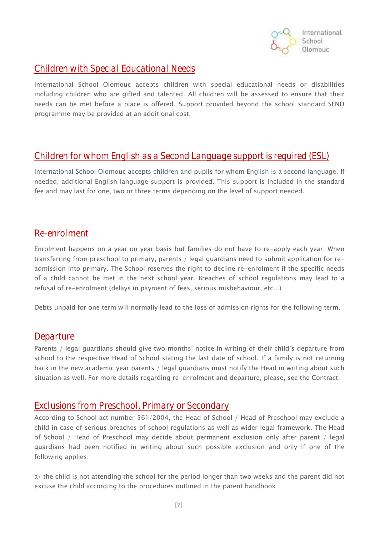

# Children with Special Educational Needs

International School Olomouc accepts children with special educational needs or disabilities including children who are gifted and talented. All children will be assessed to ensure that their needs can be met before a place is offered. Support provided beyond the school standard SEND programme may be provided at an additional cost.

### Children for whom English as a Second Language support is required (ESL)

International School Olomouc accepts children and pupils for whom English is a second language. If needed, additional English language support is provided. This support is included in the standard fee and may last for one, two or three terms depending on the level of support needed.

### Re-enrolment

Enrolment happens on a year on year basis but families do not have to re-apply each year. When transferring from preschool to primary, parents / legal guardians need to submit application for readmission into primary. The School reserves the right to decline re-enrolment if the specific needs of a child cannot be met in the next school year. Breaches of school regulations may lead to a refusal of re-enrolment (delays in payment of fees, serious misbehaviour, etc...)

Debts unpaid for one term will normally lead to the loss of admission rights for the following term.

### **Departure**

Parents / legal guardians should give two months' notice in writing of their child's departure from school to the respective Head of School stating the last date of school. If a family is not returning back in the new academic year parents / legal guardians must notify the Head in writing about such situation as well. For more details regarding re-enrolment and departure, please, see the Contract.

### Exclusions from Preschool, Primary or Secondary

According to School act number 561/2004, the Head of School / Head of Preschool may exclude a child in case of serious breaches of school regulations as well as wider legal framework. The Head of School / Head of Preschool may decide about permanent exclusion only after parent / legal guardians had been notified in writing about such possible exclusion and only if one of the following applies:

a/ the child is not attending the school for the period longer than two weeks and the parent did not excuse the child according to the procedures outlined in the parent handbook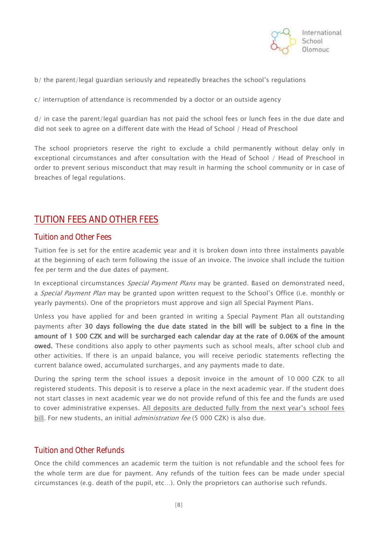

b/ the parent/legal guardian seriously and repeatedly breaches the school's regulations

c/ interruption of attendance is recommended by a doctor or an outside agency

d/ in case the parent/legal guardian has not paid the school fees or lunch fees in the due date and did not seek to agree on a different date with the Head of School / Head of Preschool

The school proprietors reserve the right to exclude a child permanently without delay only in exceptional circumstances and after consultation with the Head of School / Head of Preschool in order to prevent serious misconduct that may result in harming the school community or in case of breaches of legal regulations.

# TUTION FEES AND OTHER FEES

#### Tuition and Other Fees

Tuition fee is set for the entire academic year and it is broken down into three instalments payable at the beginning of each term following the issue of an invoice. The invoice shall include the tuition fee per term and the due dates of payment.

In exceptional circumstances *Special Payment Plans* may be granted. Based on demonstrated need, a Special Payment Plan may be granted upon written request to the School's Office (i.e. monthly or yearly payments). One of the proprietors must approve and sign all Special Payment Plans.

Unless you have applied for and been granted in writing a Special Payment Plan all outstanding payments after 30 days following the due date stated in the bill will be subject to a fine in the amount of 1 500 CZK and will be surcharged each calendar day at the rate of 0.06% of the amount owed. These conditions also apply to other payments such as school meals, after school club and other activities. If there is an unpaid balance, you will receive periodic statements reflecting the current balance owed, accumulated surcharges, and any payments made to date.

During the spring term the school issues a deposit invoice in the amount of 10 000 CZK to all registered students. This deposit is to reserve a place in the next academic year. If the student does not start classes in next academic year we do not provide refund of this fee and the funds are used to cover administrative expenses. All deposits are deducted fully from the next year's school fees bill. For new students, an initial *administration fee* (5 000 CZK) is also due.

#### Tuition and Other Refunds

Once the child commences an academic term the tuition is not refundable and the school fees for the whole term are due for payment. Any refunds of the tuition fees can be made under special circumstances (e.g. death of the pupil, etc…). Only the proprietors can authorise such refunds.